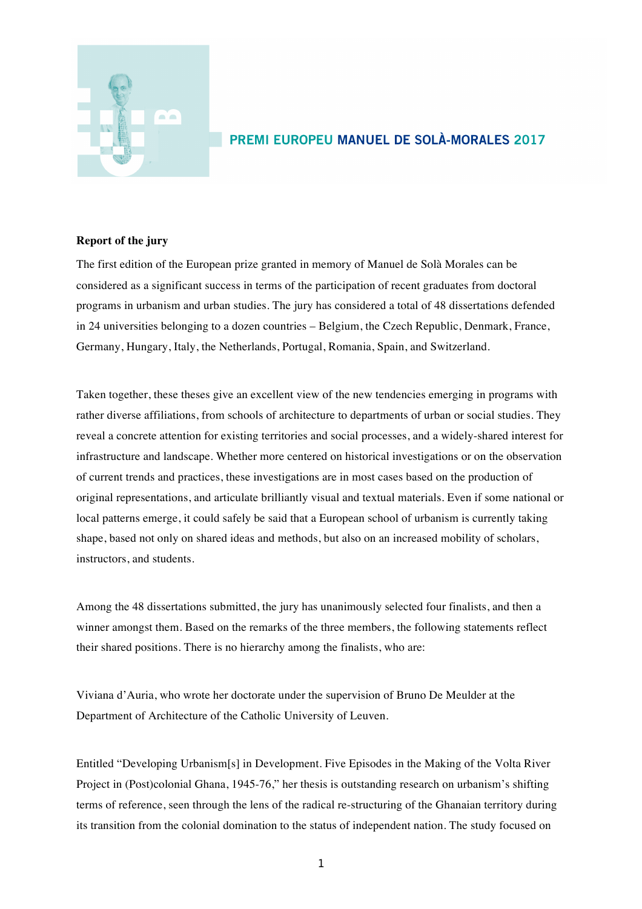

## PREMI EUROPEU MANUEL DE SOLÀ-MORALES 2017

## **Report of the jury**

The first edition of the European prize granted in memory of Manuel de Solà Morales can be considered as a significant success in terms of the participation of recent graduates from doctoral programs in urbanism and urban studies. The jury has considered a total of 48 dissertations defended in 24 universities belonging to a dozen countries – Belgium, the Czech Republic, Denmark, France, Germany, Hungary, Italy, the Netherlands, Portugal, Romania, Spain, and Switzerland.

Taken together, these theses give an excellent view of the new tendencies emerging in programs with rather diverse affiliations, from schools of architecture to departments of urban or social studies. They reveal a concrete attention for existing territories and social processes, and a widely-shared interest for infrastructure and landscape. Whether more centered on historical investigations or on the observation of current trends and practices, these investigations are in most cases based on the production of original representations, and articulate brilliantly visual and textual materials. Even if some national or local patterns emerge, it could safely be said that a European school of urbanism is currently taking shape, based not only on shared ideas and methods, but also on an increased mobility of scholars, instructors, and students.

Among the 48 dissertations submitted, the jury has unanimously selected four finalists, and then a winner amongst them. Based on the remarks of the three members, the following statements reflect their shared positions. There is no hierarchy among the finalists, who are:

Viviana d'Auria, who wrote her doctorate under the supervision of Bruno De Meulder at the Department of Architecture of the Catholic University of Leuven.

Entitled "Developing Urbanism[s] in Development. Five Episodes in the Making of the Volta River Project in (Post)colonial Ghana, 1945-76," her thesis is outstanding research on urbanism's shifting terms of reference, seen through the lens of the radical re-structuring of the Ghanaian territory during its transition from the colonial domination to the status of independent nation. The study focused on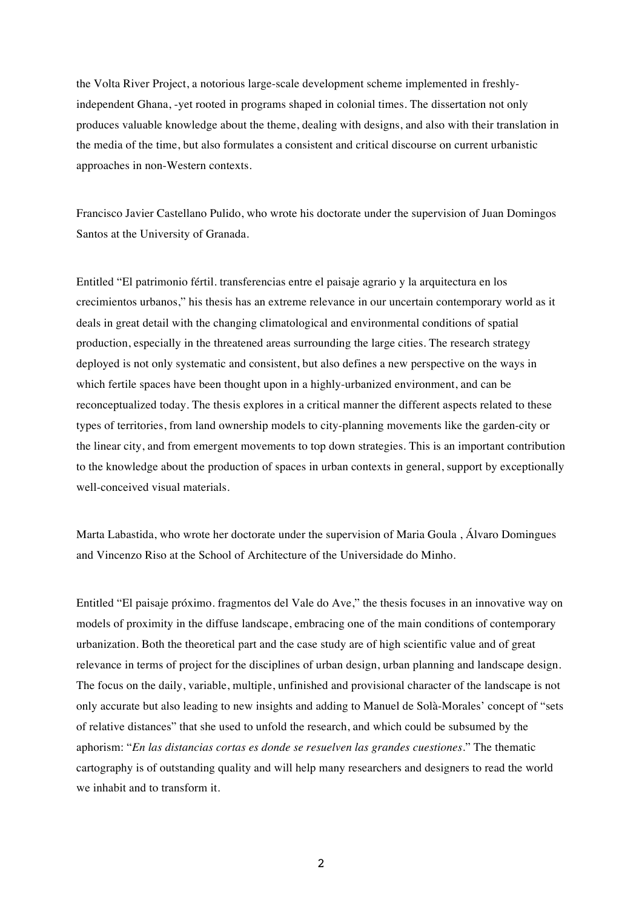the Volta River Project, a notorious large-scale development scheme implemented in freshlyindependent Ghana, -yet rooted in programs shaped in colonial times. The dissertation not only produces valuable knowledge about the theme, dealing with designs, and also with their translation in the media of the time, but also formulates a consistent and critical discourse on current urbanistic approaches in non-Western contexts.

Francisco Javier Castellano Pulido, who wrote his doctorate under the supervision of Juan Domingos Santos at the University of Granada.

Entitled "El patrimonio fértil. transferencias entre el paisaje agrario y la arquitectura en los crecimientos urbanos," his thesis has an extreme relevance in our uncertain contemporary world as it deals in great detail with the changing climatological and environmental conditions of spatial production, especially in the threatened areas surrounding the large cities. The research strategy deployed is not only systematic and consistent, but also defines a new perspective on the ways in which fertile spaces have been thought upon in a highly-urbanized environment, and can be reconceptualized today. The thesis explores in a critical manner the different aspects related to these types of territories, from land ownership models to city-planning movements like the garden-city or the linear city, and from emergent movements to top down strategies. This is an important contribution to the knowledge about the production of spaces in urban contexts in general, support by exceptionally well-conceived visual materials.

Marta Labastida, who wrote her doctorate under the supervision of Maria Goula , Álvaro Domingues and Vincenzo Riso at the School of Architecture of the Universidade do Minho.

Entitled "El paisaje próximo. fragmentos del Vale do Ave," the thesis focuses in an innovative way on models of proximity in the diffuse landscape, embracing one of the main conditions of contemporary urbanization. Both the theoretical part and the case study are of high scientific value and of great relevance in terms of project for the disciplines of urban design, urban planning and landscape design. The focus on the daily, variable, multiple, unfinished and provisional character of the landscape is not only accurate but also leading to new insights and adding to Manuel de Solà-Morales' concept of "sets of relative distances" that she used to unfold the research, and which could be subsumed by the aphorism: "*En las distancias cortas es donde se resuelven las grandes cuestiones*." The thematic cartography is of outstanding quality and will help many researchers and designers to read the world we inhabit and to transform it.